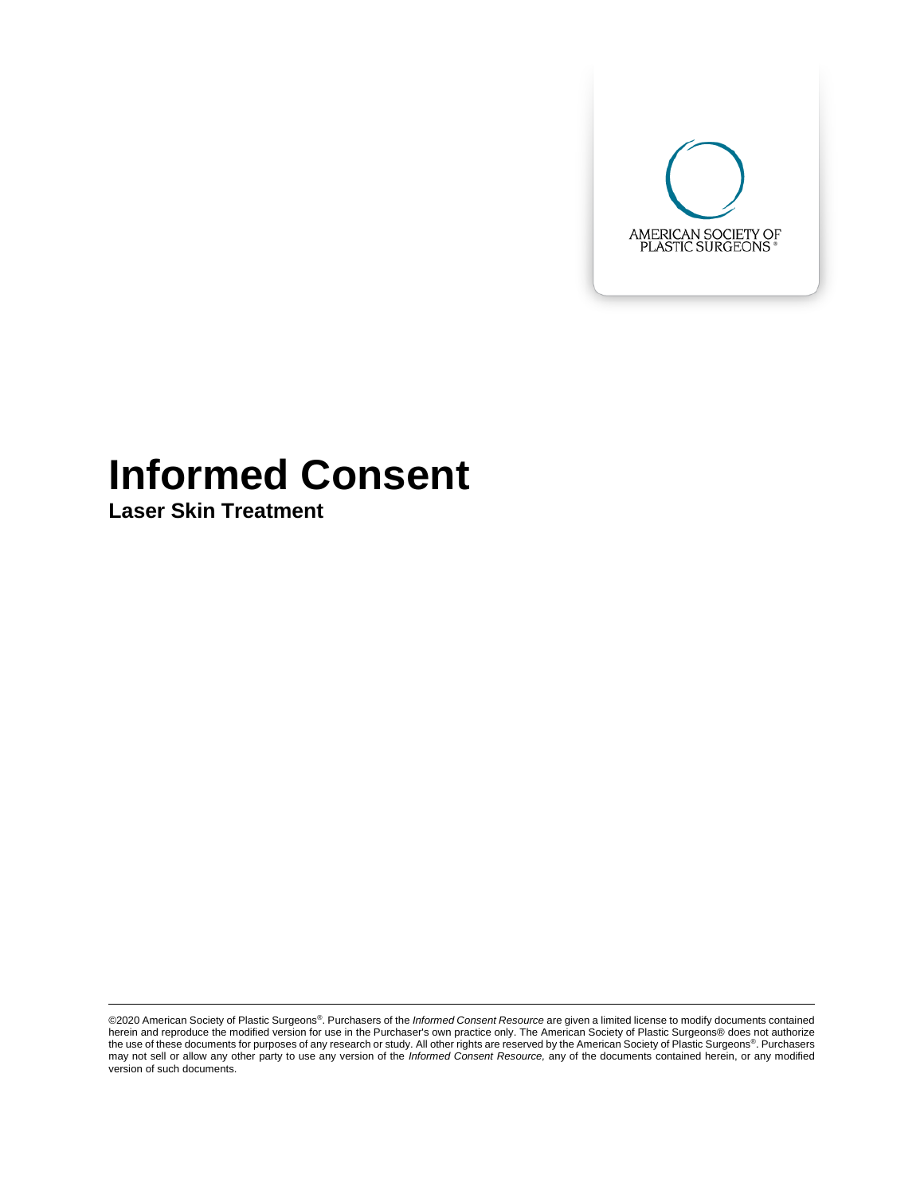

# **Informed Consent**

**Laser Skin Treatment**

©2020 American Society of Plastic Surgeons®. Purchasers of the *Informed Consent Resource* are given a limited license to modify documents contained herein and reproduce the modified version for use in the Purchaser's own practice only. The American Society of Plastic Surgeons® does not authorize the use of these documents for purposes of any research or study. All other rights are reserved by the American Society of Plastic Surgeons®. Purchasers may not sell or allow any other party to use any version of the *Informed Consent Resource,* any of the documents contained herein, or any modified version of such documents.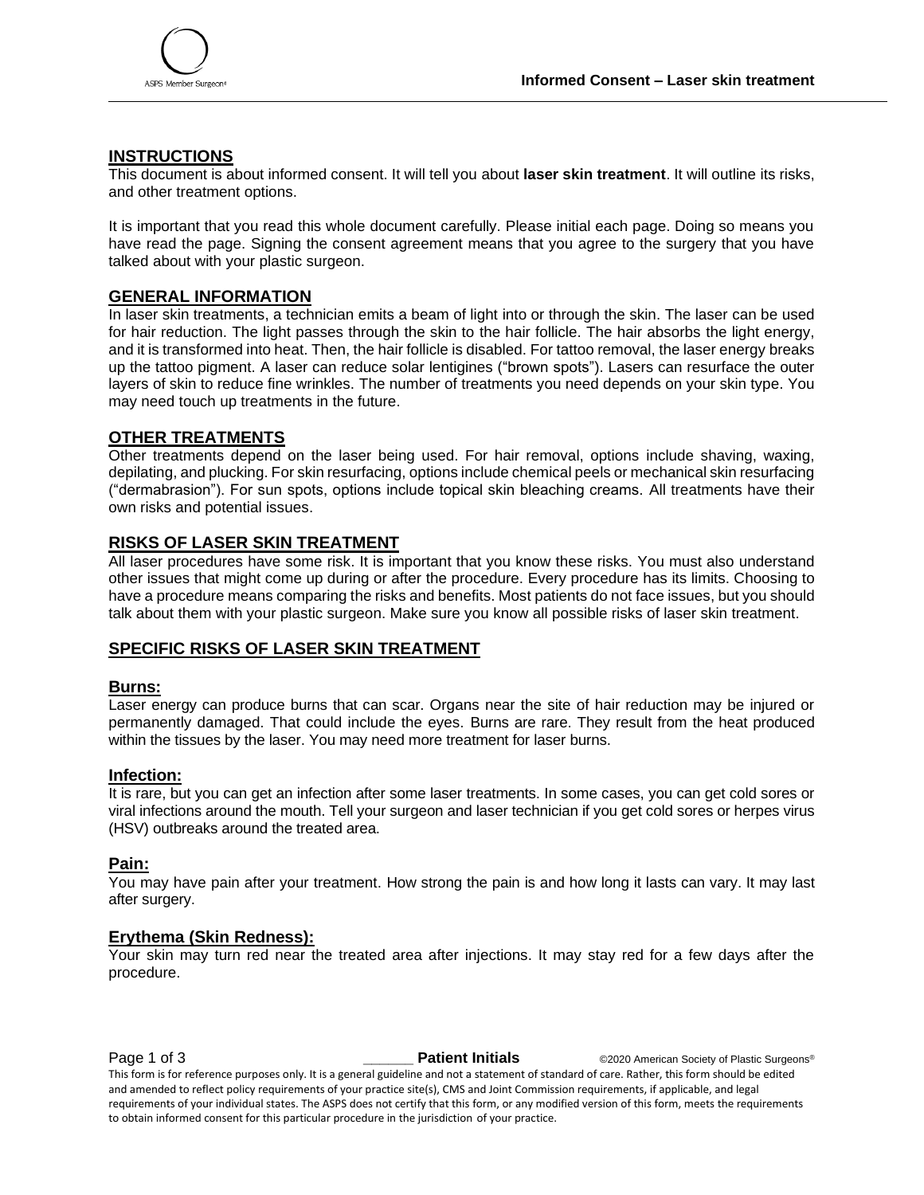

### **INSTRUCTIONS**

This document is about informed consent. It will tell you about **laser skin treatment**. It will outline its risks, and other treatment options.

It is important that you read this whole document carefully. Please initial each page. Doing so means you have read the page. Signing the consent agreement means that you agree to the surgery that you have talked about with your plastic surgeon.

#### **GENERAL INFORMATION**

In laser skin treatments, a technician emits a beam of light into or through the skin. The laser can be used for hair reduction. The light passes through the skin to the hair follicle. The hair absorbs the light energy, and it is transformed into heat. Then, the hair follicle is disabled. For tattoo removal, the laser energy breaks up the tattoo pigment. A laser can reduce solar lentigines ("brown spots"). Lasers can resurface the outer layers of skin to reduce fine wrinkles. The number of treatments you need depends on your skin type. You may need touch up treatments in the future.

#### **OTHER TREATMENTS**

Other treatments depend on the laser being used. For hair removal, options include shaving, waxing, depilating, and plucking. For skin resurfacing, options include chemical peels or mechanical skin resurfacing ("dermabrasion"). For sun spots, options include topical skin bleaching creams. All treatments have their own risks and potential issues.

#### **RISKS OF LASER SKIN TREATMENT**

All laser procedures have some risk. It is important that you know these risks. You must also understand other issues that might come up during or after the procedure. Every procedure has its limits. Choosing to have a procedure means comparing the risks and benefits. Most patients do not face issues, but you should talk about them with your plastic surgeon. Make sure you know all possible risks of laser skin treatment.

#### **SPECIFIC RISKS OF LASER SKIN TREATMENT**

#### **Burns:**

Laser energy can produce burns that can scar. Organs near the site of hair reduction may be injured or permanently damaged. That could include the eyes. Burns are rare. They result from the heat produced within the tissues by the laser. You may need more treatment for laser burns.

#### **Infection:**

It is rare, but you can get an infection after some laser treatments. In some cases, you can get cold sores or viral infections around the mouth. Tell your surgeon and laser technician if you get cold sores or herpes virus (HSV) outbreaks around the treated area.

#### **Pain:**

You may have pain after your treatment. How strong the pain is and how long it lasts can vary. It may last after surgery.

#### **Erythema (Skin Redness):**

Your skin may turn red near the treated area after injections. It may stay red for a few days after the procedure.

**Page 1 of 3** *Datient Initials* **CO200 American Society of Plastic Surgeons<sup>®</sup>** 

This form is for reference purposes only. It is a general guideline and not a statement of standard of care. Rather, this form should be edited and amended to reflect policy requirements of your practice site(s), CMS and Joint Commission requirements, if applicable, and legal requirements of your individual states. The ASPS does not certify that this form, or any modified version of this form, meets the requirements to obtain informed consent for this particular procedure in the jurisdiction of your practice.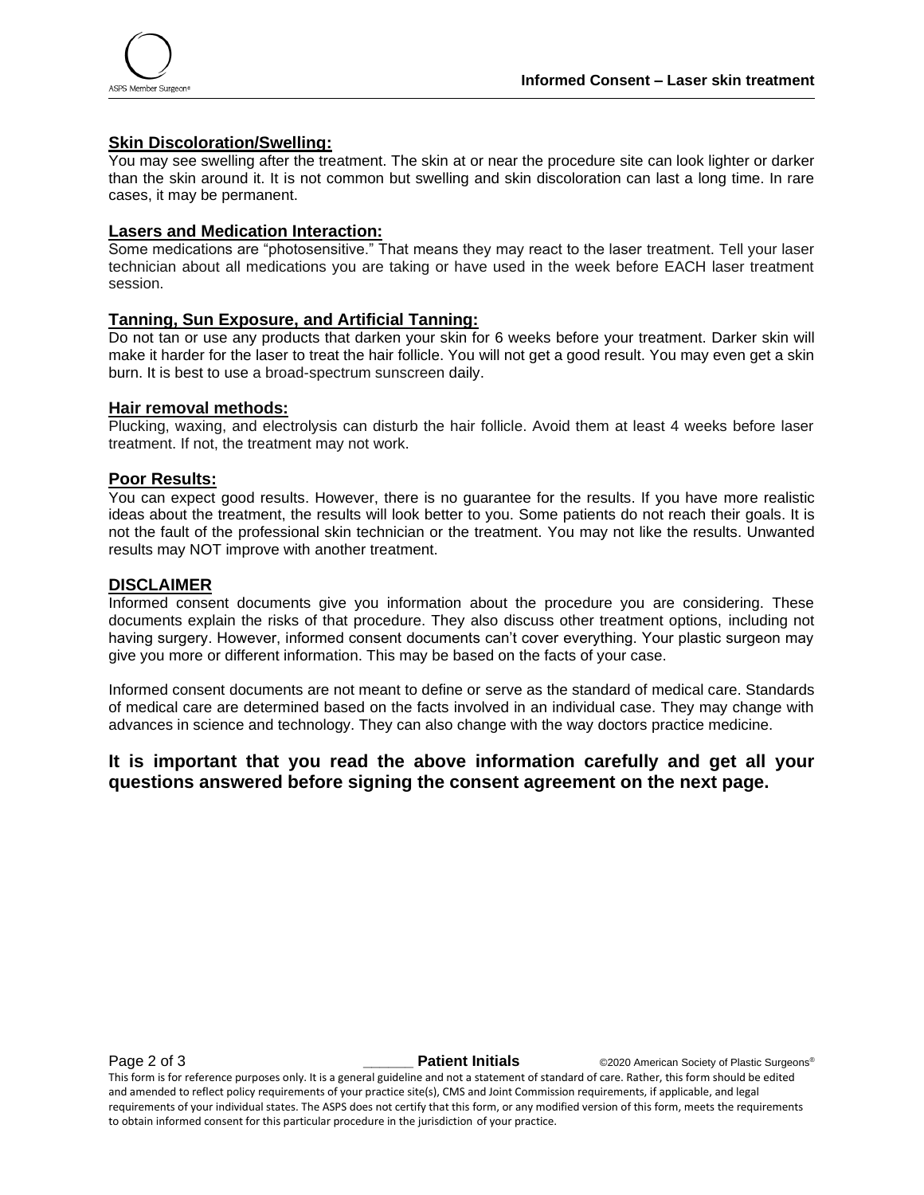

#### **Skin Discoloration/Swelling:**

You may see swelling after the treatment. The skin at or near the procedure site can look lighter or darker than the skin around it. It is not common but swelling and skin discoloration can last a long time. In rare cases, it may be permanent.

#### **Lasers and Medication Interaction:**

Some medications are "photosensitive." That means they may react to the laser treatment. Tell your laser technician about all medications you are taking or have used in the week before EACH laser treatment session.

#### **Tanning, Sun Exposure, and Artificial Tanning:**

Do not tan or use any products that darken your skin for 6 weeks before your treatment. Darker skin will make it harder for the laser to treat the hair follicle. You will not get a good result. You may even get a skin burn. It is best to use a broad-spectrum sunscreen daily.

#### **Hair removal methods:**

Plucking, waxing, and electrolysis can disturb the hair follicle. Avoid them at least 4 weeks before laser treatment. If not, the treatment may not work.

#### **Poor Results:**

You can expect good results. However, there is no guarantee for the results. If you have more realistic ideas about the treatment, the results will look better to you. Some patients do not reach their goals. It is not the fault of the professional skin technician or the treatment. You may not like the results. Unwanted results may NOT improve with another treatment.

#### **DISCLAIMER**

Informed consent documents give you information about the procedure you are considering. These documents explain the risks of that procedure. They also discuss other treatment options, including not having surgery. However, informed consent documents can't cover everything. Your plastic surgeon may give you more or different information. This may be based on the facts of your case.

Informed consent documents are not meant to define or serve as the standard of medical care. Standards of medical care are determined based on the facts involved in an individual case. They may change with advances in science and technology. They can also change with the way doctors practice medicine.

## **It is important that you read the above information carefully and get all your questions answered before signing the consent agreement on the next page.**

This form is for reference purposes only. It is a general guideline and not a statement of standard of care. Rather, this form should be edited and amended to reflect policy requirements of your practice site(s), CMS and Joint Commission requirements, if applicable, and legal requirements of your individual states. The ASPS does not certify that this form, or any modified version of this form, meets the requirements to obtain informed consent for this particular procedure in the jurisdiction of your practice.